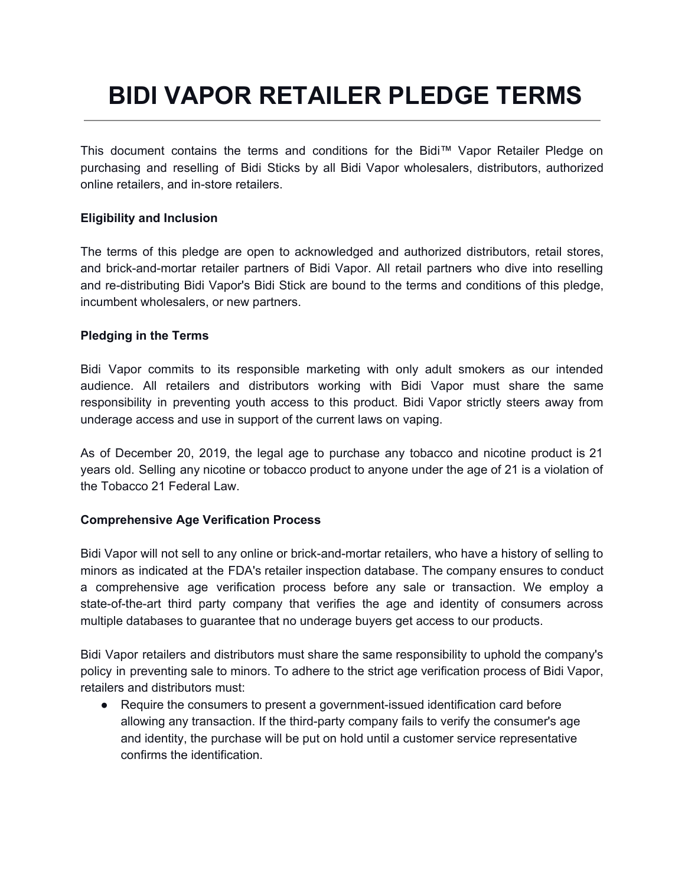# **BIDI VAPOR RETAILER PLEDGE TERMS**

This document contains the terms and conditions for the Bidi™ Vapor Retailer Pledge on purchasing and reselling of Bidi Sticks by all Bidi Vapor wholesalers, distributors, authorized online retailers, and in-store retailers.

### **Eligibility and Inclusion**

The terms of this pledge are open to acknowledged and authorized distributors, retail stores, and brick-and-mortar retailer partners of Bidi Vapor. All retail partners who dive into reselling and re-distributing Bidi Vapor's Bidi Stick are bound to the terms and conditions of this pledge, incumbent wholesalers, or new partners.

#### **Pledging in the Terms**

Bidi Vapor commits to its responsible marketing with only adult smokers as our intended audience. All retailers and distributors working with Bidi Vapor must share the same responsibility in preventing youth access to this product. Bidi Vapor strictly steers away from underage access and use in support of the current laws on vaping.

As of December 20, 2019, the legal age to purchase any tobacco and nicotine product is 21 years old. Selling any nicotine or tobacco product to anyone under the age of 21 is a violation of the Tobacco 21 Federal Law.

#### **Comprehensive Age Verification Process**

Bidi Vapor will not sell to any online or brick-and-mortar retailers, who have a history of selling to minors as indicated at the FDA's retailer inspection database. The company ensures to conduct a comprehensive age verification process before any sale or transaction. We employ a state-of-the-art third party company that verifies the age and identity of consumers across multiple databases to guarantee that no underage buyers get access to our products.

Bidi Vapor retailers and distributors must share the same responsibility to uphold the company's policy in preventing sale to minors. To adhere to the strict age verification process of Bidi Vapor, retailers and distributors must:

● Require the consumers to present a government-issued identification card before allowing any transaction. If the third-party company fails to verify the consumer's age and identity, the purchase will be put on hold until a customer service representative confirms the identification.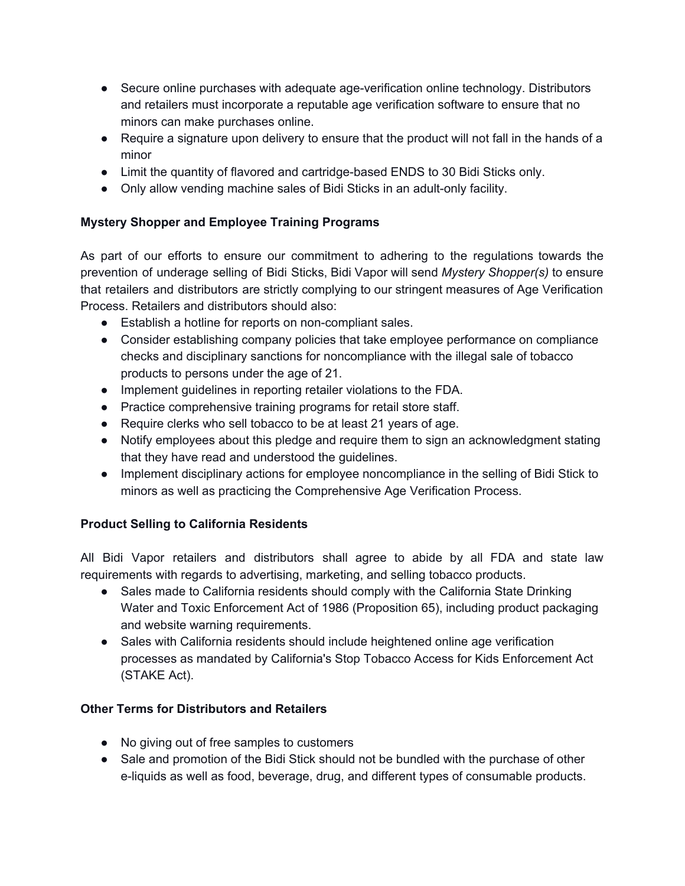- Secure online purchases with adequate age-verification online technology. Distributors and retailers must incorporate a reputable age verification software to ensure that no minors can make purchases online.
- Require a signature upon delivery to ensure that the product will not fall in the hands of a minor
- Limit the quantity of flavored and cartridge-based ENDS to 30 Bidi Sticks only.
- Only allow vending machine sales of Bidi Sticks in an adult-only facility.

## **Mystery Shopper and Employee Training Programs**

As part of our efforts to ensure our commitment to adhering to the regulations towards the prevention of underage selling of Bidi Sticks, Bidi Vapor will send *Mystery Shopper(s)* to ensure that retailers and distributors are strictly complying to our stringent measures of Age Verification Process. Retailers and distributors should also:

- Establish a hotline for reports on non-compliant sales.
- Consider establishing company policies that take employee performance on compliance checks and disciplinary sanctions for noncompliance with the illegal sale of tobacco products to persons under the age of 21.
- Implement guidelines in reporting retailer violations to the FDA.
- Practice comprehensive training programs for retail store staff.
- Require clerks who sell tobacco to be at least 21 years of age.
- Notify employees about this pledge and require them to sign an acknowledgment stating that they have read and understood the guidelines.
- Implement disciplinary actions for employee noncompliance in the selling of Bidi Stick to minors as well as practicing the Comprehensive Age Verification Process.

## **Product Selling to California Residents**

All Bidi Vapor retailers and distributors shall agree to abide by all FDA and state law requirements with regards to advertising, marketing, and selling tobacco products.

- Sales made to California residents should comply with the California State Drinking Water and Toxic Enforcement Act of 1986 (Proposition 65), including product packaging and website warning requirements.
- Sales with California residents should include heightened online age verification processes as mandated by California's Stop Tobacco Access for Kids Enforcement Act (STAKE Act).

## **Other Terms for Distributors and Retailers**

- No giving out of free samples to customers
- Sale and promotion of the Bidi Stick should not be bundled with the purchase of other e-liquids as well as food, beverage, drug, and different types of consumable products.